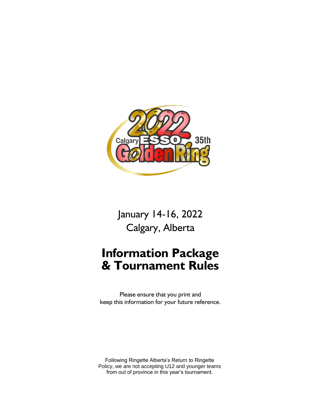

January 14-16, 2022 Calgary, Alberta

# **Information Package & Tournament Rules**

Please ensure that you print and keep this information for your future reference.

Following Ringette Alberta's Return to Ringette Policy, we are not accepting U12 and younger teams from out of province in this year's tournament.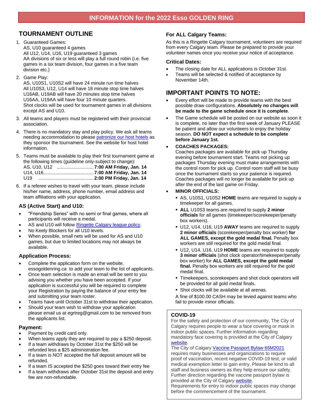## **TOURNAMENT OUTLINE**

#### 1. Guaranteed Games: AS, U10 guaranteed 4 games All U12, U14, U16, U19 guaranteed 3 games AA divisions of six or less will play a full round robin (i.e. five games in a six team division, four games in a five team division etc.)

2. Game Play:

AS, U10S1, U10S2 will have 24 minute run time halves All U10S3, U12, U14 will have 18 minute stop time halves U16AB, U19AB will have 20 minutes stop time halves U16AA, U19AA will have four 10 minute quarters. Shot clocks will be used for tournament games in all divisions except AS and U10.

- 3. All teams and players must be registered with their provincial association.
- 4. There is no mandatory stay and play policy. We ask all teams needing accommodation to please [patronize our host hotels](https://essogoldenring.ca/host-hotels) as they sponsor the tournament. See the website for host hotel information.
- 5. Teams must be available to play their first tournament game at the following times (guideline only-subject to change): AS, U10, U12 ............................**7:00 AM Friday, Jan. 14** U14, U16......................................**7:00 AM Friday, Jan. 14** U19 ..........................................**2:00 PM Friday, Jan. 14**
- 6. If a referee wishes to travel with your team, please include his/her name, address, phone number, email address and team affiliations with your application.

## **AS (Active Start) and U10:**

- "Friendship Series" with no semi or final games, where all participants will receive a medal.
- AS and U10 will follow [Ringette Calgary league policy.](https://ringettecalgary.ca/docs/rulesregs/12_ChildrensRingette.pdf)
- No Keely Blockers for all U10 levels.
- When possible, small nets will be used for AS and U10 games, but due to limited locations may not always be available.

## **Application Process:**

- Complete the application form on the website, essogoldenring.ca to add your team to the list of applicants.
- Once team selection is made an email will be sent to you advising you whether you have been accepted. If your application is successful you will be required to complete your Registration by paying the balance of your entry fee and submitting your team roster.
- Teams have until October 31st to withdraw their application.
- Should your team wish to withdraw your application please email us at egrtreg@gmail.com to be removed from the applicants list.

## **Payment:**

- Payment by credit card only.
- When teams apply they are required to pay a \$250 deposit.
- If a team withdraws by October 31st the \$250 will be refunded less a \$25 administration fee.
- If a team is NOT accepted the full deposit amount will be refunded.
- If a team IS accepted the \$250 goes toward their entry fee
- If a team withdraws after October 31st the deposit and entry fee are non-refundable.

## **For ALL Calgary Teams:**

As this is a Ringette Calgary tournament, volunteers are required from every Calgary team. Please be prepared to provide your volunteer names once you receive your notice of acceptance.

### **Critical Dates:**

- The closing date for ALL applications is October 31st.
- Teams will be selected & notified of acceptance by November 14th.

# **IMPORTANT POINTS TO NOTE:**

- Every effort will be made to provide teams with the best possible draw configurations. **Absolutely no changes will be made to the game schedule once it is complete**.
- The Game schedule will be posted on our website as soon it is complete, no later than the first week of January PLEASE be patient and allow our volunteers to enjoy the holiday season. **DO NOT expect a schedule to be complete before January 1st.**

## • **COACHES PACKAGES:**

Coaches packages are available for pick up Thursday evening before tournament start. Teams not picking up packages Thursday evening must make arrangements with the control room for pick up. Control room staff will be busy once the tournament starts so your patience is required. Coaches packages will no longer be available for pick up after the end of the last game on Friday.

### • **MINOR OFFICIALS:**

- AS, U10S1, U10S2 **HOME** teams are required to supply a timekeeper for all games.
- **ALL** U10S3 teams are required to supply **2 minor officials** for all games (timekeeper/scorekeeper/penalty box workers).
- U12, U14, U16, U19 **AWAY** teams are required to supply **2 minor officials** (scorekeeper/penalty box worker) **for ALL GAMES, except the gold medal final.** Penalty box workers are still required for the gold medal final.
- U12, U14, U16, U19 **HOME** teams are required to supply **3 minor officials** (shot clock operator/timekeeper/penalty box worker) for **ALL GAMES, except the gold medal final.** Penalty box workers are still required for the gold medal final.
- **Timekeepers, scorekeepers and shot clock operators will** be provided for all gold medal finals.
- **Shot clocks will be available at all arenas.**

A fine of \$100.00 CASH may be levied against teams who fail to provide minor officials.

## **COVID-19**

For the safety and protection of our community, The City of Calgary requires people to wear a face covering or mask in indoor public spaces. Further information regarding mandatory face covering is provided at the City of Calgary [website.](https://www.calgary.ca/content/www/en/home/csps/abs/bylaws-by-topic/face-covering-bylaw.html)

The City of Calgary Vaccine Passport Bylaw [65M2021](https://publicaccess.calgary.ca/lldm01/exccpa?func=ccpa.general&msgID=MTecAsrcAsM&msgAction=Download) requires many businesses and organizations to require proof of vaccination, recent negative COVID-19 test, or valid medical exemption letter to gain entry. Please be kind to all staff and business owners as they help ensure our safety. Further direction regarding the vaccine passport bylaw is provided at the City of Calgary [website.](https://www.calgary.ca/csps/cema/covid19/safety/COVID-19-vaccine-bylaw.html)

Requirements for entry to indoor public spaces may change before the commencement of the tournament.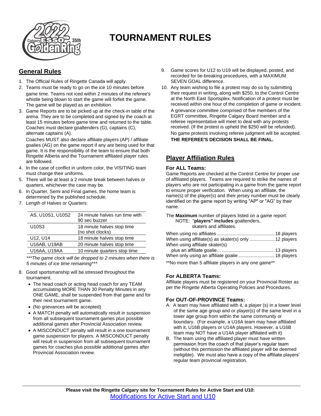

# **TOURNAMENT RULES**

# **General Rules**

- 1. The Official Rules of Ringette Canada will apply.
- 2. Teams must be ready to go on the ice 10 minutes before game time. Teams not iced within 2 minutes of the referee's whistle being blown to start the game will forfeit the game. The game will be played as an exhibition.
- 3. Game Reports are to be picked up at the check-in table of the arena. They are to be completed and signed by the coach at least 15 minutes before game time and returned to the table. Coaches must declare goaltenders (G), captains (C), alternate captains (A).

Coaches MUST also declare affiliate players (AP) / affiliate goalies (AG) on the game report if any are being used for that game. It is the responsibility of the team to ensure that both Ringette Alberta and the Tournament affiliated player rules are followed.

- 4. In the case of conflict in uniform color, the VISITING team must change their uniforms.
- 5. There will be at least a 2 minute break between halves or quarters, whichever the case may be.
- 6. In Quarter, Semi and Final games, the home team is determined by the published schedule.
- 7. Length of Halves or Quarters:

| AS, U10S1, U10S2 | 24 minute halves run time with<br>90 sec buzzer |
|------------------|-------------------------------------------------|
| U10S3            | 18 minute halves stop time<br>(no shot clocks)  |
| U12, U14         | 18 minute halves stop time                      |
| U16AB, U19AB     | 20 minute halves stop time                      |
| U16AA, U19AA     | 10 minute quarters stop time                    |

*\*\*\*The game clock will be dropped to 2 minutes when there is 5 minutes of ice time remaining\*\*\**

- 8. Good sportsmanship will be stressed throughout the tournament.
	- The head coach or acting head coach for any TEAM accumulating MORE THAN 30 Penalty Minutes in any ONE GAME, shall be suspended from that game and for their next tournament game.
	- (No grievances will be accepted)
	- A MATCH penalty will automatically result in suspension from all subsequent tournament games plus possible additional games after Provincial Association review.
	- A MISCONDUCT penalty will result in a one tournament game suspension for players. A MISCONDUCT penalty will result in suspension from all subsequent tournament games for coaches plus possible additional games after Provincial Association review.
- 9. Game scores for U12 to U19 will be displayed, posted, and recorded for tie-breaking procedures, with a MAXIMUM SEVEN GOAL difference.
- 10. Any team wishing to file a protest may do so by submitting their request in writing, along with \$250, to the Control Centre at the North East Sportsplex. Notification of a protest must be received within one hour of the completion of game or incident. A grievance committee comprised of five members of the EGRT committee, Ringette Calgary Board member and a referee representative will meet to deal with any protests received. (If the protest is upheld the \$250 will be refunded). No game protests involving referee judgment will be accepted. **THE REFEREE'S DECISION SHALL BE FINAL.**

# **Player Affiliation Rules**

## **For ALL Teams:**

Game Reports are checked at the Control Centre for proper use of affiliated players. Teams are required to strike the names of players who are not participating in a game from the game report to ensure proper verification. When using an affiliate, the name(s) of the player(s) and their jersey number must be clearly identified on the game report by writing "AP" or "AG" by their name.

The **Maximum** number of players listed on a game report: NOTE: "**players" includes** goaltenders, skaters and affiliates.

| When using affiliate(s) as skater(s) only  12 players |  |
|-------------------------------------------------------|--|
| When using affiliate skater(s)                        |  |
|                                                       |  |
| When only using an affiliate goalie 18 players        |  |
|                                                       |  |

\*\*No more than 5 affiliate players in any one game\*\*

## **For ALBERTA Teams:**

Affiliate players must be registered on your Provincial Roster as per the Ringette Alberta Operating Policies and Procedures.

## **For OUT-OF-PROVINCE Teams:**

- A. A team may have affiliated with it, a player (s) in a lower level of the same age group and or player(s) of the same level in a lower age group from within the same community or boundary. (For example, a U16A team may have affiliated with it, U16B players or U14A players. However, a U16B team may NOT have a U14A player affiliated with it)
- B. The team using the affiliated player must have written permission from the coach of that player's regular team (without this permission the affiliated player will be deemed ineligible). We must also have a copy of the affiliate players' regular team provincial registration.